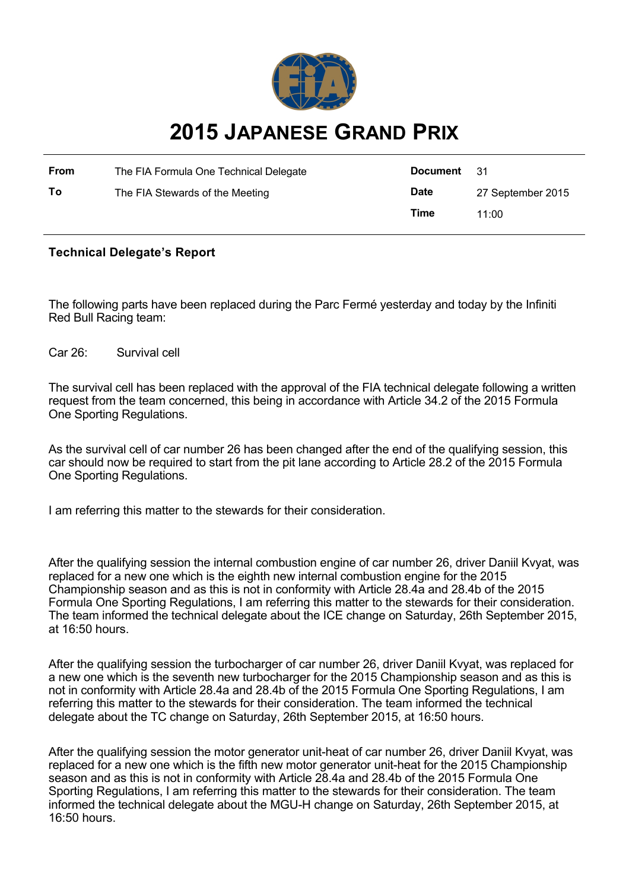

## **2015 JAPANESE GRAND PRIX**

| From | The FIA Formula One Technical Delegate | Document    | - 31              |
|------|----------------------------------------|-------------|-------------------|
| To   | The FIA Stewards of the Meeting        | <b>Date</b> | 27 September 2015 |
|      |                                        | Time        | 11:00             |

## **Technical Delegate's Report**

The following parts have been replaced during the Parc Fermé yesterday and today by the Infiniti Red Bull Racing team:

Car 26: Survival cell

The survival cell has been replaced with the approval of the FIA technical delegate following a written request from the team concerned, this being in accordance with Article 34.2 of the 2015 Formula One Sporting Regulations.

As the survival cell of car number 26 has been changed after the end of the qualifying session, this car should now be required to start from the pit lane according to Article 28.2 of the 2015 Formula One Sporting Regulations.

I am referring this matter to the stewards for their consideration.

After the qualifying session the internal combustion engine of car number 26, driver Daniil Kvyat, was replaced for a new one which is the eighth new internal combustion engine for the 2015 Championship season and as this is not in conformity with Article 28.4a and 28.4b of the 2015 Formula One Sporting Regulations, I am referring this matter to the stewards for their consideration. The team informed the technical delegate about the ICE change on Saturday, 26th September 2015, at 16:50 hours.

After the qualifying session the turbocharger of car number 26, driver Daniil Kvyat, was replaced for a new one which is the seventh new turbocharger for the 2015 Championship season and as this is not in conformity with Article 28.4a and 28.4b of the 2015 Formula One Sporting Regulations, I am referring this matter to the stewards for their consideration. The team informed the technical delegate about the TC change on Saturday, 26th September 2015, at 16:50 hours.

After the qualifying session the motor generator unit-heat of car number 26, driver Daniil Kvyat, was replaced for a new one which is the fifth new motor generator unit-heat for the 2015 Championship season and as this is not in conformity with Article 28.4a and 28.4b of the 2015 Formula One Sporting Regulations, I am referring this matter to the stewards for their consideration. The team informed the technical delegate about the MGU-H change on Saturday, 26th September 2015, at 16:50 hours.